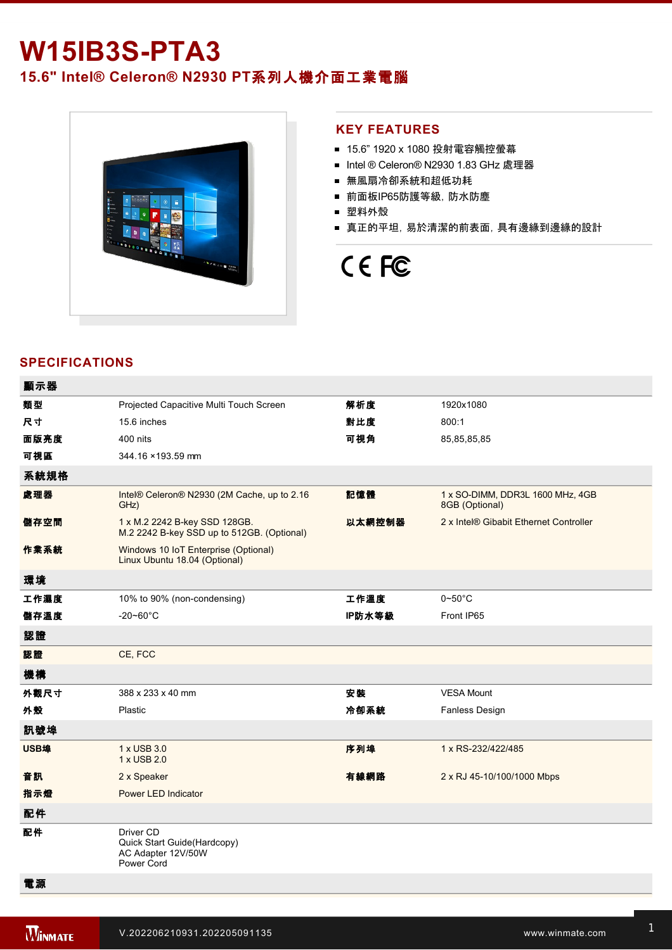# **W15IB3S-PTA3 15.6" Intel® Celeron® N2930 PT**系列人機介面工業電腦



### **KEY FEATURES**

- 15.6" 1920 x 1080 投射電容觸控螢幕
- Intel ® Celeron® N2930 1.83 GHz 處理器
- 無風扇冷卻系統和超低功耗
- 前面板IP65防護等級, 防水防塵
- 塑料外殼
- 真正的平坦,易於清潔的前表面,具有邊緣到邊緣的設計

# CE FC

## **SPECIFICATIONS**

| 顯示器  |                                                                              |        |                                                    |
|------|------------------------------------------------------------------------------|--------|----------------------------------------------------|
| 類型   | Projected Capacitive Multi Touch Screen                                      | 解析度    | 1920x1080                                          |
| 尺寸   | 15.6 inches                                                                  | 對比度    | 800:1                                              |
| 面版亮度 | 400 nits                                                                     | 可視角    | 85,85,85,85                                        |
| 可視區  | 344.16 × 193.59 mm                                                           |        |                                                    |
| 系統規格 |                                                                              |        |                                                    |
| 處理器  | Intel® Celeron® N2930 (2M Cache, up to 2.16<br>GHz)                          | 記憶體    | 1 x SO-DIMM, DDR3L 1600 MHz, 4GB<br>8GB (Optional) |
| 儲存空間 | 1 x M.2 2242 B-key SSD 128GB.<br>M.2 2242 B-key SSD up to 512GB. (Optional)  | 以太網控制器 | 2 x Intel® Gibabit Ethernet Controller             |
| 作業系統 | Windows 10 IoT Enterprise (Optional)<br>Linux Ubuntu 18.04 (Optional)        |        |                                                    |
| 環境   |                                                                              |        |                                                    |
| 工作濕度 | 10% to 90% (non-condensing)                                                  | 工作溫度   | $0\neg 50^\circ C$                                 |
| 儲存溫度 | $-20 - 60^{\circ}$ C                                                         | IP防水等級 | Front IP65                                         |
| 認證   |                                                                              |        |                                                    |
| 認證   | CE, FCC                                                                      |        |                                                    |
| 機構   |                                                                              |        |                                                    |
| 外觀尺寸 | 388 x 233 x 40 mm                                                            | 安装     | <b>VESA Mount</b>                                  |
| 外殼   | Plastic                                                                      | 冷卻系統   | Fanless Design                                     |
| 訊號埠  |                                                                              |        |                                                    |
| USB埠 | 1 x USB 3.0<br>1 x USB 2.0                                                   | 序列埠    | 1 x RS-232/422/485                                 |
| 音訊   | 2 x Speaker                                                                  | 有線網路   | 2 x RJ 45-10/100/1000 Mbps                         |
| 指示燈  | Power LED Indicator                                                          |        |                                                    |
| 配件   |                                                                              |        |                                                    |
| 配件   | Driver CD<br>Quick Start Guide(Hardcopy)<br>AC Adapter 12V/50W<br>Power Cord |        |                                                    |
| 電源   |                                                                              |        |                                                    |

1 x Reset Button and the Company of the Company of the Company of the Company of the Company of the Company of